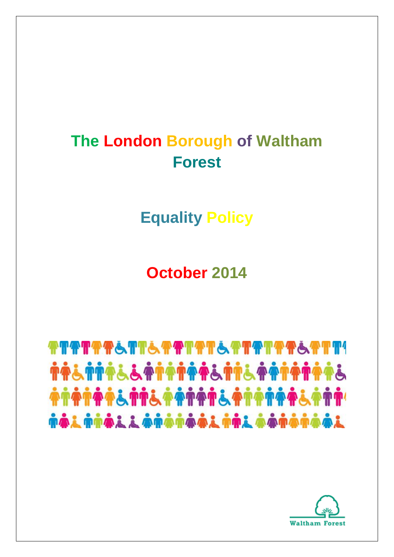## **The London Borough of Waltham Forest**

**Equality Policy**

**October 2014**

# **TTTTTTTSTTSTTTETSTTTTTTTTTTTTTTTTT TA&TTA&&ATATAA&TT&AATATAA&** nài nhài i ànananiai nhi aananaai

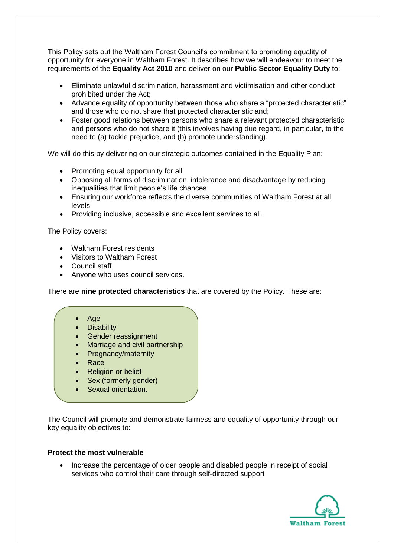This Policy sets out the Waltham Forest Council's commitment to promoting equality of opportunity for everyone in Waltham Forest. It describes how we will endeavour to meet the requirements of the **Equality Act 2010** and deliver on our **Public Sector Equality Duty** to:

- Eliminate unlawful discrimination, harassment and victimisation and other conduct prohibited under the Act;
- Advance equality of opportunity between those who share a "protected characteristic" and those who do not share that protected characteristic and;
- Foster good relations between persons who share a relevant protected characteristic and persons who do not share it (this involves having due regard, in particular, to the need to (a) tackle prejudice, and (b) promote understanding).

We will do this by delivering on our strategic outcomes contained in the Equality Plan:

- Promoting equal opportunity for all
- Opposing all forms of discrimination, intolerance and disadvantage by reducing inequalities that limit people's life chances
- Ensuring our workforce reflects the diverse communities of Waltham Forest at all levels
- Providing inclusive, accessible and excellent services to all.

The Policy covers:

- Waltham Forest residents
- Visitors to Waltham Forest
- Council staff
- Anyone who uses council services.

There are **nine protected characteristics** that are covered by the Policy. These are:

- Age
- **Disability**
- Gender reassignment
- Marriage and civil partnership
- Pregnancy/maternity
- Race
- Religion or belief
- Sex (formerly gender)
- Sexual orientation.

The Council will promote and demonstrate fairness and equality of opportunity through our key equality objectives to:

#### **Protect the most vulnerable**

• Increase the percentage of older people and disabled people in receipt of social services who control their care through self-directed support

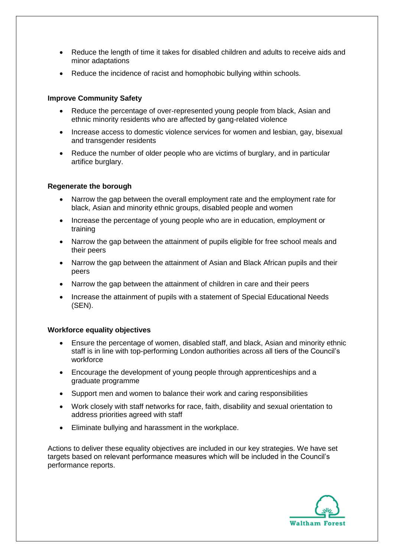- Reduce the length of time it takes for disabled children and adults to receive aids and minor adaptations
- Reduce the incidence of racist and homophobic bullying within schools.

#### **Improve Community Safety**

- Reduce the percentage of over-represented young people from black, Asian and ethnic minority residents who are affected by gang-related violence
- Increase access to domestic violence services for women and lesbian, gay, bisexual and transgender residents
- Reduce the number of older people who are victims of burglary, and in particular artifice burglary.

#### **Regenerate the borough**

- Narrow the gap between the overall employment rate and the employment rate for black, Asian and minority ethnic groups, disabled people and women
- Increase the percentage of young people who are in education, employment or training
- Narrow the gap between the attainment of pupils eligible for free school meals and their peers
- Narrow the gap between the attainment of Asian and Black African pupils and their peers
- Narrow the gap between the attainment of children in care and their peers
- Increase the attainment of pupils with a statement of Special Educational Needs (SEN).

#### **Workforce equality objectives**

- Ensure the percentage of women, disabled staff, and black, Asian and minority ethnic staff is in line with top-performing London authorities across all tiers of the Council's workforce
- Encourage the development of young people through apprenticeships and a graduate programme
- Support men and women to balance their work and caring responsibilities
- Work closely with staff networks for race, faith, disability and sexual orientation to address priorities agreed with staff
- Eliminate bullying and harassment in the workplace.

Actions to deliver these equality objectives are included in our key strategies. We have set targets based on relevant performance measures which will be included in the Council's performance reports.